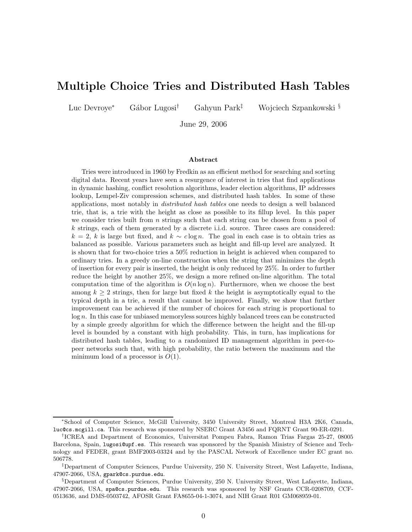# Multiple Choice Tries and Distributed Hash Tables

Luc Devroye<sup>∗</sup> Gábor Lugosi<sup>†</sup> Gahyun Park<sup>‡</sup> Wojciech Szpankowski §

June 29, 2006

#### Abstract

Tries were introduced in 1960 by Fredkin as an efficient method for searching and sorting digital data. Recent years have seen a resurgence of interest in tries that find applications in dynamic hashing, conflict resolution algorithms, leader election algorithms, IP addresses lookup, Lempel-Ziv compression schemes, and distributed hash tables. In some of these applications, most notably in distributed hash tables one needs to design a well balanced trie, that is, a trie with the height as close as possible to its fillup level. In this paper we consider tries built from  $n$  strings such that each string can be chosen from a pool of k strings, each of them generated by a discrete i.i.d. source. Three cases are considered:  $k = 2$ , k is large but fixed, and  $k \sim c \log n$ . The goal in each case is to obtain tries as balanced as possible. Various parameters such as height and fill-up level are analyzed. It is shown that for two-choice tries a 50% reduction in height is achieved when compared to ordinary tries. In a greedy on-line construction when the string that minimizes the depth of insertion for every pair is inserted, the height is only reduced by 25%. In order to further reduce the height by another 25%, we design a more refined on-line algorithm. The total computation time of the algorithm is  $O(n \log n)$ . Furthermore, when we choose the best among  $k > 2$  strings, then for large but fixed k the height is asymptotically equal to the typical depth in a trie, a result that cannot be improved. Finally, we show that further improvement can be achieved if the number of choices for each string is proportional to  $log n$ . In this case for unbiased memoryless sources highly balanced trees can be constructed by a simple greedy algorithm for which the difference between the height and the fill-up level is bounded by a constant with high probability. This, in turn, has implications for distributed hash tables, leading to a randomized ID management algorithm in peer-topeer networks such that, with high probability, the ratio between the maximum and the minimum load of a processor is  $O(1)$ .

<sup>∗</sup>School of Computer Science, McGill University, 3450 University Street, Montreal H3A 2K6, Canada, luc@cs.mcgill.ca. This research was sponsored by NSERC Grant A3456 and FQRNT Grant 90-ER-0291.

<sup>†</sup> ICREA and Department of Economics, Universitat Pompeu Fabra, Ramon Trias Fargas 25-27, 08005 Barcelona, Spain, lugosi@upf.es. This research was sponsored by the Spanish Ministry of Science and Technology and FEDER, grant BMF2003-03324 and by the PASCAL Network of Excellence under EC grant no. 506778.

<sup>‡</sup>Department of Computer Sciences, Purdue University, 250 N. University Street, West Lafayette, Indiana, 47907-2066, USA, gpark@cs.purdue.edu.

<sup>§</sup>Department of Computer Sciences, Purdue University, 250 N. University Street, West Lafayette, Indiana, 47907-2066, USA, spa@cs.purdue.edu. This research was sponsored by NSF Grants CCR-0208709, CCF-0513636, and DMS-0503742, AFOSR Grant FA8655-04-1-3074, and NIH Grant R01 GM068959-01.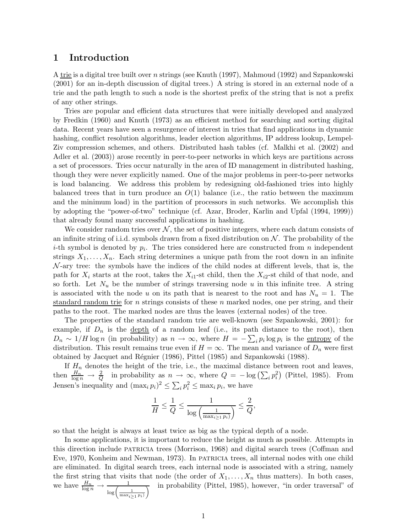### 1 Introduction

A trie is a digital tree built over n strings (see Knuth (1997), Mahmoud (1992) and Szpankowski (2001) for an in-depth discussion of digital trees.) A string is stored in an external node of a trie and the path length to such a node is the shortest prefix of the string that is not a prefix of any other strings.

Tries are popular and efficient data structures that were initially developed and analyzed by Fredkin (1960) and Knuth (1973) as an efficient method for searching and sorting digital data. Recent years have seen a resurgence of interest in tries that find applications in dynamic hashing, conflict resolution algorithms, leader election algorithms, IP address lookup, Lempel-Ziv compression schemes, and others. Distributed hash tables (cf. Malkhi et al. (2002) and Adler et al. (2003)) arose recently in peer-to-peer networks in which keys are partitions across a set of processors. Tries occur naturally in the area of ID management in distributed hashing, though they were never explicitly named. One of the major problems in peer-to-peer networks is load balancing. We address this problem by redesigning old-fashioned tries into highly balanced trees that in turn produce an  $O(1)$  balance (i.e., the ratio between the maximum and the minimum load) in the partition of processors in such networks. We accomplish this by adopting the "power-of-two" technique (cf. Azar, Broder, Karlin and Upfal (1994, 1999)) that already found many successful applications in hashing.

We consider random tries over  $N$ , the set of positive integers, where each datum consists of an infinite string of i.i.d. symbols drawn from a fixed distribution on  $\mathcal N$ . The probability of the *i*-th symbol is denoted by  $p_i$ . The tries considered here are constructed from *n* independent strings  $X_1, \ldots, X_n$ . Each string determines a unique path from the root down in an infinite  $\mathcal{N}$ -ary tree: the symbols have the indices of the child nodes at different levels, that is, the path for  $X_i$  starts at the root, takes the  $X_{i1}$ -st child, then the  $X_{i2}$ -st child of that node, and so forth. Let  $N_u$  be the number of strings traversing node u in this infinite tree. A string is associated with the node u on its path that is nearest to the root and has  $N_u = 1$ . The standard random trie for n strings consists of these n marked nodes, one per string, and their paths to the root. The marked nodes are thus the leaves (external nodes) of the tree.

The properties of the standard random trie are well-known (see Szpankowski, 2001): for example, if  $D_n$  is the <u>depth</u> of a random leaf (i.e., its path distance to the root), then  $D_n \sim 1/H \log n$  (in probability) as  $n \to \infty$ , where  $H = -\sum_i p_i \log p_i$  is the <u>entropy</u> of the distribution. This result remains true even if  $H = \infty$ . The mean and variance of  $D_n$  were first obtained by Jacquet and R´egnier (1986), Pittel (1985) and Szpankowski (1988).

If  $H_n$  denotes the height of the trie, i.e., the maximal distance between root and leaves, then  $\frac{H_n}{\log n} \to \frac{2}{Q}$  in probability as  $n \to \infty$ , where  $Q = -\log\left(\sum_i p_i^2\right)$  (Pittel, 1985). From Jensen's inequality and  $(\max_i p_i)^2 \leq \sum_i p_i^2 \leq \max_i p_i$ , we have

$$
\frac{1}{H} \leq \frac{1}{Q} \leq \frac{1}{\log\left(\frac{1}{\max_{i \geq 1} p_i\right)} \leq \frac{2}{Q},
$$

so that the height is always at least twice as big as the typical depth of a node.

In some applications, it is important to reduce the height as much as possible. Attempts in this direction include patricia trees (Morrison, 1968) and digital search trees (Coffman and Eve, 1970, Konheim and Newman, 1973). In patricia trees, all internal nodes with one child are eliminated. In digital search trees, each internal node is associated with a string, namely the first string that visits that node (the order of  $X_1, \ldots, X_n$  thus matters). In both cases, we have  $\frac{H_n}{\log n} \to \frac{1}{\log \left( \frac{1}{\max_i \geq 1 \cdot p_i} \right)}$  $\frac{1}{\sqrt{2}}$  in probability (Pittel, 1985), however, "in order traversal" of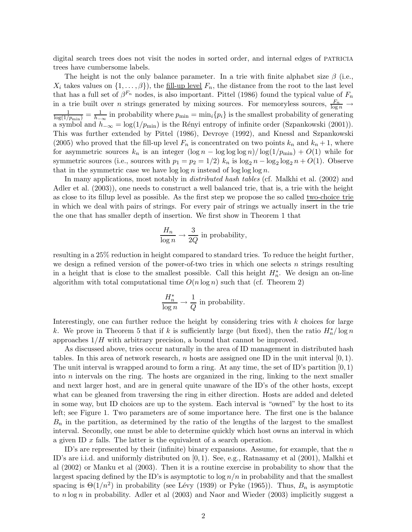digital search trees does not visit the nodes in sorted order, and internal edges of PATRICIA trees have cumbersome labels.

The height is not the only balance parameter. In a trie with finite alphabet size  $\beta$  (i.e.,  $X_i$  takes values on  $\{1,\ldots,\beta\}$ , the fill-up level  $F_n$ , the distance from the root to the last level that has a full set of  $\beta^{F_n}$  nodes, is also important. Pittel (1986) found the typical value of  $F_n$ in a trie built over *n* strings generated by mixing sources. For memoryless sources,  $\frac{F_n}{\log n} \to$  $\frac{1}{\log(1/p_{\min})} = \frac{1}{h_-}$  $\frac{1}{h_{-\infty}}$  in probability where  $p_{\min} = \min_i \{p_i\}$  is the smallest probability of generating a symbol and  $h_{-\infty} = \log(1/p_{\text{min}})$  is the Rényi entropy of infinite order (Szpankowski (2001)). This was further extended by Pittel (1986), Devroye (1992), and Knessl and Szpankowski (2005) who proved that the fill-up level  $F_n$  is concentrated on two points  $k_n$  and  $k_n + 1$ , where for asymmetric sources  $k_n$  is an integer  $(\log n - \log \log \log n)/\log(1/p_{\min}) + O(1)$  while for symmetric sources (i.e., sources with  $p_1 = p_2 = 1/2$ )  $k_n$  is  $\log_2 n - \log_2 \log_2 n + O(1)$ . Observe that in the symmetric case we have  $\log \log n$  instead of  $\log \log \log n$ .

In many applications, most notably in *distributed hash tables* (cf. Malkhi et al. (2002) and Adler et al. (2003)), one needs to construct a well balanced trie, that is, a trie with the height as close to its fillup level as possible. As the first step we propose the so called two-choice trie in which we deal with pairs of strings. For every pair of strings we actually insert in the trie the one that has smaller depth of insertion. We first show in Theorem 1 that

$$
\frac{H_n}{\log n} \to \frac{3}{2Q}
$$
 in probability,

resulting in a 25% reduction in height compared to standard tries. To reduce the height further, we design a refined version of the power-of-two tries in which one selects  $n$  strings resulting in a height that is close to the smallest possible. Call this height  $H_n^*$ . We design an on-line algorithm with total computational time  $O(n \log n)$  such that (cf. Theorem 2)

$$
\frac{H_n^*}{\log n} \to \frac{1}{Q} \text{ in probability.}
$$

Interestingly, one can further reduce the height by considering tries with  $k$  choices for large k. We prove in Theorem 5 that if k is sufficiently large (but fixed), then the ratio  $H_n^* / \log n$ approaches  $1/H$  with arbitrary precision, a bound that cannot be improved.

As discussed above, tries occur naturally in the area of ID management in distributed hash tables. In this area of network research, n hosts are assigned one ID in the unit interval  $[0, 1)$ . The unit interval is wrapped around to form a ring. At any time, the set of ID's partition  $[0, 1)$ into  $n$  intervals on the ring. The hosts are organized in the ring, linking to the next smaller and next larger host, and are in general quite unaware of the ID's of the other hosts, except what can be gleaned from traversing the ring in either direction. Hosts are added and deleted in some way, but ID choices are up to the system. Each interval is "owned" by the host to its left; see Figure 1. Two parameters are of some importance here. The first one is the balance  $B_n$  in the partition, as determined by the ratio of the lengths of the largest to the smallest interval. Secondly, one must be able to determine quickly which host owns an interval in which a given ID x falls. The latter is the equivalent of a search operation.

ID's are represented by their (infinite) binary expansions. Assume, for example, that the  $n$ ID's are i.i.d. and uniformly distributed on [0, 1). See, e.g., Ratnasamy et al (2001), Malkhi et al (2002) or Manku et al (2003). Then it is a routine exercise in probability to show that the largest spacing defined by the ID's is asymptotic to  $\log n/n$  in probability and that the smallest spacing is  $\Theta(1/n^2)$  in probability (see Lévy (1939) or Pyke (1965)). Thus,  $B_n$  is asymptotic to  $n \log n$  in probability. Adler et al  $(2003)$  and Naor and Wieder  $(2003)$  implicitly suggest a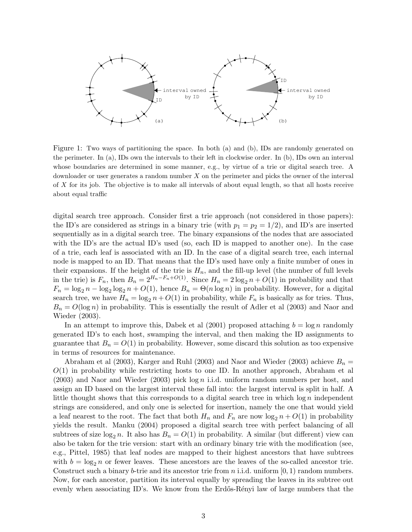

Figure 1: Two ways of partitioning the space. In both (a) and (b), IDs are randomly generated on the perimeter. In (a), IDs own the intervals to their left in clockwise order. In (b), IDs own an interval whose boundaries are determined in some manner, e.g., by virtue of a trie or digital search tree. A downloader or user generates a random number  $X$  on the perimeter and picks the owner of the interval of X for its job. The objective is to make all intervals of about equal length, so that all hosts receive about equal traffic

digital search tree approach. Consider first a trie approach (not considered in those papers): the ID's are considered as strings in a binary trie (with  $p_1 = p_2 = 1/2$ ), and ID's are inserted sequentially as in a digital search tree. The binary expansions of the nodes that are associated with the ID's are the actual ID's used (so, each ID is mapped to another one). In the case of a trie, each leaf is associated with an ID. In the case of a digital search tree, each internal node is mapped to an ID. That means that the ID's used have only a finite number of ones in their expansions. If the height of the trie is  $H_n$ , and the fill-up level (the number of full levels in the trie) is  $F_n$ , then  $B_n = 2^{H_n - F_n + O(1)}$ . Since  $H_n = 2 \log_2 n + O(1)$  in probability and that  $F_n = \log_2 n - \log_2 \log_2 n + O(1)$ , hence  $B_n = \Theta(n \log n)$  in probability. However, for a digital search tree, we have  $H_n = \log_2 n + O(1)$  in probability, while  $F_n$  is basically as for tries. Thus,  $B_n = O(\log n)$  in probability. This is essentially the result of Adler et al (2003) and Naor and Wieder (2003).

In an attempt to improve this, Dabek et al  $(2001)$  proposed attaching  $b = \log n$  randomly generated ID's to each host, swamping the interval, and then making the ID assignments to guarantee that  $B_n = O(1)$  in probability. However, some discard this solution as too expensive in terms of resources for maintenance.

Abraham et al (2003), Karger and Ruhl (2003) and Naor and Wieder (2003) achieve  $B_n =$  $O(1)$  in probability while restricting hosts to one ID. In another approach, Abraham et all  $(2003)$  and Naor and Wieder  $(2003)$  pick log n i.i.d. uniform random numbers per host, and assign an ID based on the largest interval these fall into: the largest interval is split in half. A little thought shows that this corresponds to a digital search tree in which  $\log n$  independent strings are considered, and only one is selected for insertion, namely the one that would yield a leaf nearest to the root. The fact that both  $H_n$  and  $F_n$  are now  $\log_2 n + O(1)$  in probability yields the result. Manku (2004) proposed a digital search tree with perfect balancing of all subtrees of size  $\log_2 n$ . It also has  $B_n = O(1)$  in probability. A similar (but different) view can also be taken for the trie version: start with an ordinary binary trie with the modification (see, e.g., Pittel, 1985) that leaf nodes are mapped to their highest ancestors that have subtrees with  $b = \log_2 n$  or fewer leaves. These ancestors are the leaves of the so-called ancestor trie. Construct such a binary b-trie and its ancestor trie from n i.i.d. uniform  $[0, 1)$  random numbers. Now, for each ancestor, partition its interval equally by spreading the leaves in its subtree out evenly when associating ID's. We know from the Erdős-Rényi law of large numbers that the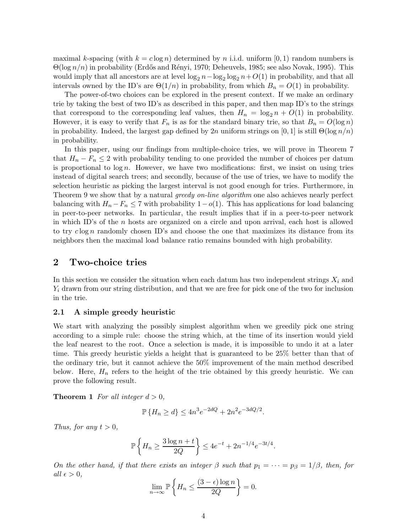maximal k-spacing (with  $k = c \log n$ ) determined by n i.i.d. uniform [0, 1) random numbers is  $\Theta(\log n/n)$  in probability (Erdős and Rényi, 1970; Deheuvels, 1985; see also Novak, 1995). This would imply that all ancestors are at level  $\log_2 n - \log_2 \log_2 n + O(1)$  in probability, and that all intervals owned by the ID's are  $\Theta(1/n)$  in probability, from which  $B_n = O(1)$  in probability.

The power-of-two choices can be explored in the present context. If we make an ordinary trie by taking the best of two ID's as described in this paper, and then map ID's to the strings that correspond to the corresponding leaf values, then  $H_n = \log_2 n + O(1)$  in probability. However, it is easy to verify that  $F_n$  is as for the standard binary trie, so that  $B_n = O(\log n)$ in probability. Indeed, the largest gap defined by 2n uniform strings on [0, 1] is still  $\Theta(\log n/n)$ in probability.

In this paper, using our findings from multiple-choice tries, we will prove in Theorem 7 that  $H_n - F_n \leq 2$  with probability tending to one provided the number of choices per datum is proportional to  $\log n$ . However, we have two modifications: first, we insist on using tries instead of digital search trees; and secondly, because of the use of tries, we have to modify the selection heuristic as picking the largest interval is not good enough for tries. Furthermore, in Theorem 9 we show that by a natural *greedy on-line algorithm* one also achieves nearly perfect balancing with  $H_n - F_n \leq 7$  with probability  $1-o(1)$ . This has applications for load balancing in peer-to-peer networks. In particular, the result implies that if in a peer-to-peer network in which ID's of the n hosts are organized on a circle and upon arrival, each host is allowed to try  $c \log n$  randomly chosen ID's and choose the one that maximizes its distance from its neighbors then the maximal load balance ratio remains bounded with high probability.

## 2 Two-choice tries

In this section we consider the situation when each datum has two independent strings  $X_i$  and  $Y_i$  drawn from our string distribution, and that we are free for pick one of the two for inclusion in the trie.

#### 2.1 A simple greedy heuristic

We start with analyzing the possibly simplest algorithm when we greedily pick one string according to a simple rule: choose the string which, at the time of its insertion would yield the leaf nearest to the root. Once a selection is made, it is impossible to undo it at a later time. This greedy heuristic yields a height that is guaranteed to be 25% better than that of the ordinary trie, but it cannot achieve the 50% improvement of the main method described below. Here,  $H_n$  refers to the height of the trie obtained by this greedy heuristic. We can prove the following result.

**Theorem 1** For all integer  $d > 0$ ,

$$
\mathbb{P}\left\{H_n \ge d\right\} \le 4n^3e^{-2dQ} + 2n^2e^{-3dQ/2}.
$$

Thus, for any  $t > 0$ ,

$$
\mathbb{P}\left\{H_n \geq \frac{3\log n + t}{2Q}\right\} \leq 4e^{-t} + 2n^{-1/4}e^{-3t/4}.
$$

On the other hand, if that there exists an integer  $\beta$  such that  $p_1 = \cdots = p_\beta = 1/\beta$ , then, for all  $\epsilon > 0$ ,

$$
\lim_{n \to \infty} \mathbb{P}\left\{H_n \le \frac{(3-\epsilon)\log n}{2Q}\right\} = 0.
$$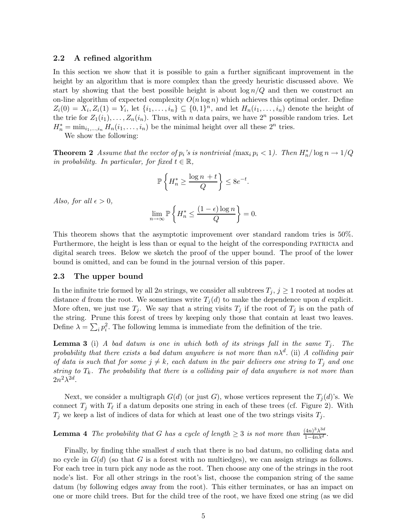#### 2.2 A refined algorithm

In this section we show that it is possible to gain a further significant improvement in the height by an algorithm that is more complex than the greedy heuristic discussed above. We start by showing that the best possible height is about  $\log n/Q$  and then we construct an on-line algorithm of expected complexity  $O(n \log n)$  which achieves this optimal order. Define  $Z_i(0) = X_i, Z_i(1) = Y_i$ , let  $\{i_1, ..., i_n\} \subseteq \{0, 1\}^n$ , and let  $H_n(i_1, ..., i_n)$  denote the height of the trie for  $Z_1(i_1), \ldots, Z_n(i_n)$ . Thus, with n data pairs, we have  $2^n$  possible random tries. Let  $H_n^* = \min_{i_1,\ldots,i_n} H_n(i_1,\ldots,i_n)$  be the minimal height over all these  $2^n$  tries.

We show the following:

**Theorem 2** Assume that the vector of  $p_i$ 's is nontrivial  $(\max_i p_i < 1)$ . Then  $H_n^* / \log n \to 1/Q$ in probability. In particular, for fixed  $t \in \mathbb{R}$ ,

$$
\mathbb{P}\left\{H_n^* \ge \frac{\log n + t}{Q}\right\} \le 8e^{-t}.
$$

Also, for all  $\epsilon > 0$ ,

$$
\lim_{n \to \infty} \mathbb{P}\left\{ H_n^* \le \frac{(1-\epsilon)\log n}{Q} \right\} = 0.
$$

This theorem shows that the asymptotic improvement over standard random tries is 50%. Furthermore, the height is less than or equal to the height of the corresponding PATRICIA and digital search trees. Below we sketch the proof of the upper bound. The proof of the lower bound is omitted, and can be found in the journal version of this paper.

#### 2.3 The upper bound

In the infinite trie formed by all 2n strings, we consider all subtrees  $T_j$ ,  $j \geq 1$  rooted at nodes at distance d from the root. We sometimes write  $T_j(d)$  to make the dependence upon d explicit. More often, we just use  $T_j$ . We say that a string visits  $T_j$  if the root of  $T_j$  is on the path of the string. Prune this forest of trees by keeping only those that contain at least two leaves. Define  $\lambda = \sum_i p_i^2$ . The following lemma is immediate from the definition of the trie.

**Lemma 3** (i) A bad datum is one in which both of its strings fall in the same  $T_i$ . The probability that there exists a bad datum anywhere is not more than  $n\lambda^d$ . (ii) A colliding pair of data is such that for some  $j \neq k$ , each datum in the pair delivers one string to  $T_j$  and one string to  $T_k$ . The probability that there is a colliding pair of data anywhere is not more than  $2n^2\lambda^{2d}$ .

Next, we consider a multigraph  $G(d)$  (or just G), whose vertices represent the  $T_i(d)$ 's. We connect  $T_j$  with  $T_\ell$  if a datum deposits one string in each of these trees (cf. Figure 2). With  $T_j$  we keep a list of indices of data for which at least one of the two strings visits  $T_j$ .

**Lemma 4** The probability that G has a cycle of length  $\geq 3$  is not more than  $\frac{(4n)^3\lambda^{3d}}{1-4n\lambda^{d}}$  $\frac{4n\pi}{1-4n\lambda^d}$ .

Finally, by finding thhe smallest d such that there is no bad datum, no colliding data and no cycle in  $G(d)$  (so that G is a forest with no multiedges), we can assign strings as follows. For each tree in turn pick any node as the root. Then choose any one of the strings in the root node's list. For all other strings in the root's list, choose the companion string of the same datum (by following edges away from the root). This either terminates, or has an impact on one or more child trees. But for the child tree of the root, we have fixed one string (as we did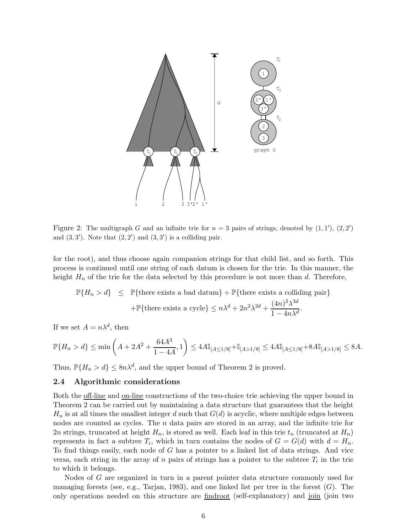

Figure 2: The multigraph G and an infinite trie for  $n = 3$  pairs of strings, denoted by  $(1, 1')$ ,  $(2, 2')$ and  $(3,3')$ . Note that  $(2,2')$  and  $(3,3')$  is a colliding pair.

for the root), and thus choose again companion strings for that child list, and so forth. This process is continued until one string of each datum is chosen for the trie. In this manner, the height  $H_n$  of the trie for the data selected by this procedure is not more than d. Therefore,

$$
\mathbb{P}\{H_n > d\} \leq \mathbb{P}\{\text{there exists a bad datum}\} + \mathbb{P}\{\text{there exists a colliding pair}\} \\
+ \mathbb{P}\{\text{there exists a cycle}\} \leq n\lambda^d + 2n^2\lambda^{2d} + \frac{(4n)^3\lambda^{3d}}{1 - 4n\lambda^d}.
$$

If we set  $A = n\lambda^d$ , then

$$
\mathbb{P}\{H_n > d\} \le \min\left(A + 2A^2 + \frac{64A^3}{1 - 4A}, 1\right) \le 4A\mathbb{I}_{[A \le 1/8]} + \mathbb{I}_{[A > 1/8]} \le 4A\mathbb{I}_{[A \le 1/8]} + 8A\mathbb{I}_{[A > 1/8]} \le 8A.
$$

Thus,  $\mathbb{P}\{H_n > d\} \leq 8n\lambda^d$ , and the upper bound of Theorem 2 is proved.

### 2.4 Algorithmic considerations

Both the off-line and on-line constructions of the two-choice trie achieving the upper bound in Theorem 2 can be carried out by maintaining a data structure that guarantees that the height  $H_n$  is at all times the smallest integer d such that  $G(d)$  is acyclic, where multiple edges between nodes are counted as cycles. The  $n$  data pairs are stored in an array, and the infinite trie for 2n strings, truncated at height  $H_n$ , is stored as well. Each leaf in this trie  $t_n$  (truncated at  $H_n$ ) represents in fact a subtree  $T_i$ , which in turn contains the nodes of  $G = G(d)$  with  $d = H_n$ . To find things easily, each node of G has a pointer to a linked list of data strings. And vice versa, each string in the array of n pairs of strings has a pointer to the subtree  $T_i$  in the trie to which it belongs.

Nodes of G are organized in turn in a parent pointer data structure commonly used for managing forests (see, e.g., Tarjan, 1983), and one linked list per tree in the forest  $(G)$ . The only operations needed on this structure are findroot (self-explanatory) and join (join two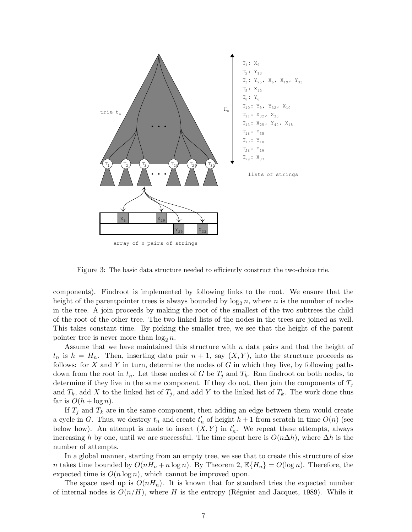

Figure 3: The basic data structure needed to efficiently construct the two-choice trie.

components). Findroot is implemented by following links to the root. We ensure that the height of the parentpointer trees is always bounded by  $\log_2 n$ , where n is the number of nodes in the tree. A join proceeds by making the root of the smallest of the two subtrees the child of the root of the other tree. The two linked lists of the nodes in the trees are joined as well. This takes constant time. By picking the smaller tree, we see that the height of the parent pointer tree is never more than  $\log_2 n$ .

Assume that we have maintained this structure with  $n$  data pairs and that the height of  $t_n$  is  $h = H_n$ . Then, inserting data pair  $n + 1$ , say  $(X, Y)$ , into the structure proceeds as follows: for X and Y in turn, determine the nodes of G in which they live, by following paths down from the root in  $t_n$ . Let these nodes of G be  $T_i$  and  $T_k$ . Run findroot on both nodes, to determine if they live in the same component. If they do not, then join the components of  $T_j$ and  $T_k$ , add X to the linked list of  $T_i$ , and add Y to the linked list of  $T_k$ . The work done thus far is  $O(h + \log n)$ .

If  $T_i$  and  $T_k$  are in the same component, then adding an edge between them would create a cycle in G. Thus, we destroy  $t_n$  and create  $t'_n$  of height  $h + 1$  from scratch in time  $O(n)$  (see below how). An attempt is made to insert  $(X, Y)$  in  $t_n'$ . We repeat these attempts, always increasing h by one, until we are successful. The time spent here is  $O(n\Delta h)$ , where  $\Delta h$  is the number of attempts.

In a global manner, starting from an empty tree, we see that to create this structure of size *n* takes time bounded by  $O(nH_n + n \log n)$ . By Theorem 2,  $\mathbb{E}\{H_n\} = O(\log n)$ . Therefore, the expected time is  $O(n \log n)$ , which cannot be improved upon.

The space used up is  $O(nH_n)$ . It is known that for standard tries the expected number of internal nodes is  $O(n/H)$ , where H is the entropy (Régnier and Jacquet, 1989). While it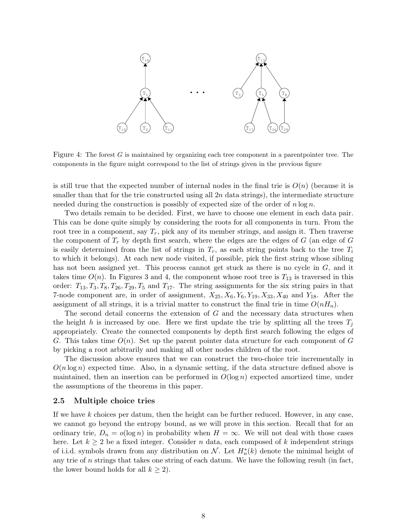

Figure 4: The forest  $G$  is maintained by organizing each tree component in a parentpointer tree. The components in the figure might correspond to the list of strings given in the previous figure

is still true that the expected number of internal nodes in the final trie is  $O(n)$  (because it is smaller than that for the trie constructed using all  $2n$  data strings), the intermediate structure needed during the construction is possibly of expected size of the order of  $n \log n$ .

Two details remain to be decided. First, we have to choose one element in each data pair. This can be done quite simply by considering the roots for all components in turn. From the root tree in a component, say  $T_r$ , pick any of its member strings, and assign it. Then traverse the component of  $T_r$  by depth first search, where the edges are the edges of G (an edge of G is easily determined from the list of strings in  $T_r$ , as each string points back to the tree  $T_i$ to which it belongs). At each new node visited, if possible, pick the first string whose sibling has not been assigned yet. This process cannot get stuck as there is no cycle in G, and it takes time  $O(n)$ . In Figures 3 and 4, the component whose root tree is  $T_{13}$  is traversed in this order:  $T_{13}, T_3, T_8, T_{26}, T_{29}, T_5$  and  $T_{17}$ . The string assignments for the six string pairs in that 7-node component are, in order of assignment,  $X_{25}$ ,  $X_6$ ,  $Y_6$ ,  $Y_{19}$ ,  $X_{33}$ ,  $X_{40}$  and  $Y_{18}$ . After the assignment of all strings, it is a trivial matter to construct the final trie in time  $O(nH_n)$ .

The second detail concerns the extension of G and the necessary data structures when the height h is increased by one. Here we first update the trie by splitting all the trees  $T_i$ appropriately. Create the connected components by depth first search following the edges of G. This takes time  $O(n)$ . Set up the parent pointer data structure for each component of G by picking a root arbitrarily and making all other nodes children of the root.

The discussion above ensures that we can construct the two-choice trie incrementally in  $O(n \log n)$  expected time. Also, in a dynamic setting, if the data structure defined above is maintained, then an insertion can be performed in  $O(\log n)$  expected amortized time, under the assumptions of the theorems in this paper.

#### 2.5 Multiple choice tries

If we have  $k$  choices per datum, then the height can be further reduced. However, in any case, we cannot go beyond the entropy bound, as we will prove in this section. Recall that for an ordinary trie,  $D_n = o(\log n)$  in probability when  $H = \infty$ . We will not deal with those cases here. Let  $k \geq 2$  be a fixed integer. Consider n data, each composed of k independent strings of i.i.d. symbols drawn from any distribution on  $\mathcal{N}$ . Let  $H_n^*(k)$  denote the minimal height of any trie of n strings that takes one string of each datum. We have the following result (in fact, the lower bound holds for all  $k \geq 2$ ).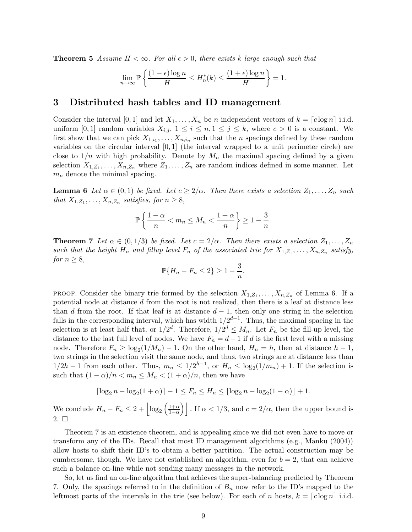**Theorem 5** Assume  $H < \infty$ . For all  $\epsilon > 0$ , there exists k large enough such that

$$
\lim_{n \to \infty} \mathbb{P}\left\{ \frac{(1-\epsilon)\log n}{H} \le H_n^*(k) \le \frac{(1+\epsilon)\log n}{H} \right\} = 1.
$$

# 3 Distributed hash tables and ID management

Consider the interval [0, 1] and let  $X_1, \ldots, X_n$  be n independent vectors of  $k = \lfloor c \log n \rfloor$  i.i.d. uniform [0, 1] random variables  $X_{i,j}$ ,  $1 \leq i \leq n, 1 \leq j \leq k$ , where  $c > 0$  is a constant. We first show that we can pick  $X_{1,i_1}, \ldots, X_{n,i_n}$  such that the *n* spacings defined by these random variables on the circular interval  $[0, 1]$  (the interval wrapped to a unit perimeter circle) are close to  $1/n$  with high probability. Denote by  $M_n$  the maximal spacing defined by a given selection  $X_{1,Z_1}, \ldots, X_{n,Z_n}$  where  $Z_1, \ldots, Z_n$  are random indices defined in some manner. Let  $m_n$  denote the minimal spacing.

**Lemma 6** Let  $\alpha \in (0,1)$  be fixed. Let  $c \geq 2/\alpha$ . Then there exists a selection  $Z_1, \ldots, Z_n$  such that  $X_{1,Z_1}, \ldots, X_{n,Z_n}$  satisfies, for  $n \geq 8$ ,

$$
\mathbb{P}\left\{\frac{1-\alpha}{n} < m_n \le M_n < \frac{1+\alpha}{n}\right\} \ge 1 - \frac{3}{n}.
$$

**Theorem 7** Let  $\alpha \in (0, 1/3)$  be fixed. Let  $c = 2/\alpha$ . Then there exists a selection  $Z_1, \ldots, Z_n$ such that the height  $H_n$  and fillup level  $F_n$  of the associated trie for  $X_{1,Z_1}, \ldots, X_{n,Z_n}$  satisfy, for  $n \geq 8$ ,

$$
\mathbb{P}\{H_n - F_n \le 2\} \ge 1 - \frac{3}{n}.
$$

PROOF. Consider the binary trie formed by the selection  $X_{1,Z_1}, \ldots, X_{n,Z_n}$  of Lemma 6. If a potential node at distance d from the root is not realized, then there is a leaf at distance less than d from the root. If that leaf is at distance  $d-1$ , then only one string in the selection falls in the corresponding interval, which has width  $1/2^{d-1}$ . Thus, the maximal spacing in the selection is at least half that, or  $1/2^d$ . Therefore,  $1/2^d \leq M_n$ . Let  $F_n$  be the fill-up level, the distance to the last full level of nodes. We have  $F_n = d - 1$  if d is the first level with a missing node. Therefore  $F_n \geq \log_2(1/M_n) - 1$ . On the other hand,  $H_n = h$ , then at distance  $h - 1$ , two strings in the selection visit the same node, and thus, two strings are at distance less than  $1/2h-1$  from each other. Thus,  $m_n \leq 1/2^{h-1}$ , or  $H_n \leq \log_2(1/m_n) + 1$ . If the selection is such that  $(1 - \alpha)/n < m_n \leq M_n < (1 + \alpha)/n$ , then we have

$$
\lceil \log_2 n - \log_2 (1 + \alpha) \rceil - 1 \le F_n \le H_n \le \lfloor \log_2 n - \log_2 (1 - \alpha) \rfloor + 1.
$$

We conclude  $H_n - F_n \leq 2 + \left| \log_2 \left( \frac{1+\alpha}{1-\alpha} \right) \right|$ . If  $\alpha < 1/3$ , and  $c = 2/\alpha$ , then the upper bound is  $2. \Box$ 

Theorem 7 is an existence theorem, and is appealing since we did not even have to move or transform any of the IDs. Recall that most ID management algorithms (e.g., Manku (2004)) allow hosts to shift their ID's to obtain a better partition. The actual construction may be cumbersome, though. We have not established an algorithm, even for  $b = 2$ , that can achieve such a balance on-line while not sending many messages in the network.

So, let us find an on-line algorithm that achieves the super-balancing predicted by Theorem 7. Only, the spacings referred to in the definition of  $B_n$  now refer to the ID's mapped to the leftmost parts of the intervals in the trie (see below). For each of n hosts,  $k = \lfloor c \log n \rfloor$  i.i.d.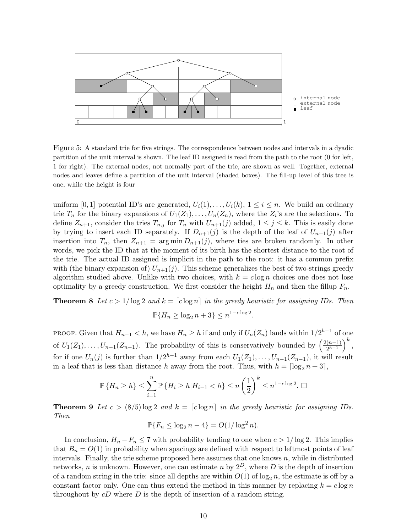

Figure 5: A standard trie for five strings. The correspondence between nodes and intervals in a dyadic partition of the unit interval is shown. The leaf ID assigned is read from the path to the root (0 for left, 1 for right). The external nodes, not normally part of the trie, are shown as well. Together, external nodes and leaves define a partition of the unit interval (shaded boxes). The fill-up level of this tree is one, while the height is four

uniform [0, 1] potential ID's are generated,  $U_i(1), \ldots, U_i(k)$ ,  $1 \leq i \leq n$ . We build an ordinary trie  $T_n$  for the binary expansions of  $U_1(Z_1), \ldots, U_n(Z_n)$ , where the  $Z_i$ 's are the selections. To define  $Z_{n+1}$ , consider the tries  $T_{n,j}$  for  $T_n$  with  $U_{n+1}(j)$  added,  $1 \leq j \leq k$ . This is easily done by trying to insert each ID separately. If  $D_{n+1}(j)$  is the depth of the leaf of  $U_{n+1}(j)$  after insertion into  $T_n$ , then  $Z_{n+1} = \arg \min D_{n+1}(j)$ , where ties are broken randomly. In other words, we pick the ID that at the moment of its birth has the shortest distance to the root of the trie. The actual ID assigned is implicit in the path to the root: it has a common prefix with (the binary expansion of)  $U_{n+1}(j)$ . This scheme generalizes the best of two-strings greedy algorithm studied above. Unlike with two choices, with  $k = c \log n$  choices one does not lose optimality by a greedy construction. We first consider the height  $H_n$  and then the fillup  $F_n$ .

**Theorem 8** Let  $c > 1/\log 2$  and  $k = \lfloor c \log n \rfloor$  in the greedy heuristic for assigning IDs. Then  $\mathbb{P}\{H_n \ge \log_2 n + 3\} \le n^{1-c\log 2}$ .

PROOF. Given that  $H_{n-1} < h$ , we have  $H_n \ge h$  if and only if  $U_n(Z_n)$  lands within  $1/2^{h-1}$  of one of  $U_1(Z_1), \ldots, U_{n-1}(Z_{n-1})$ . The probability of this is conservatively bounded by  $\left(\frac{2(n-1)}{2^{h-1}}\right)$  $\frac{(n-1)}{2^{h-1}}\Big)^k$ , for if one  $U_n(j)$  is further than  $1/2^{h-1}$  away from each  $U_1(Z_1), \ldots, U_{n-1}(Z_{n-1})$ , it will result in a leaf that is less than distance h away from the root. Thus, with  $h = \lceil \log_2 n + 3 \rceil$ ,

$$
\mathbb{P}\left\{H_n \ge h\right\} \le \sum_{i=1}^n \mathbb{P}\left\{H_i \ge h | H_{i-1} < h\right\} \le n \left(\frac{1}{2}\right)^k \le n^{1-c \log 2}. \ \Box
$$

**Theorem 9** Let  $c > (8/5) \log 2$  and  $k = \lfloor c \log n \rfloor$  in the greedy heuristic for assigning IDs. Then

$$
\mathbb{P}\{F_n \le \log_2 n - 4\} = O(1/\log^2 n).
$$

In conclusion,  $H_n - F_n \le 7$  with probability tending to one when  $c > 1/\log 2$ . This implies that  $B_n = O(1)$  in probability when spacings are defined with respect to leftmost points of leaf intervals. Finally, the trie scheme proposed here assumes that one knows  $n$ , while in distributed networks, *n* is unknown. However, one can estimate *n* by  $2^D$ , where *D* is the depth of insertion of a random string in the trie: since all depths are within  $O(1)$  of  $\log_2 n$ , the estimate is off by a constant factor only. One can thus extend the method in this manner by replacing  $k = c \log n$ throughout by  $cD$  where  $D$  is the depth of insertion of a random string.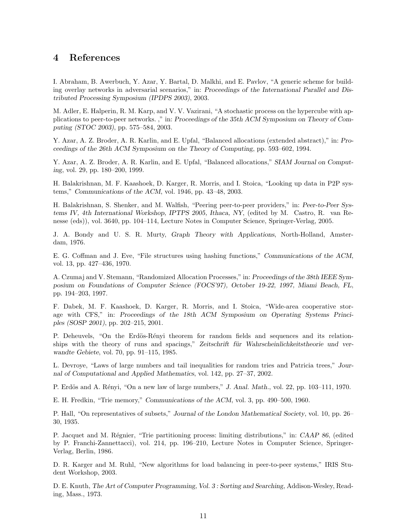# 4 References

I. Abraham, B. Awerbuch, Y. Azar, Y. Bartal, D. Malkhi, and E. Pavlov, "A generic scheme for building overlay networks in adversarial scenarios," in: Proceedings of the International Parallel and Distributed Processing Symposium (IPDPS 2003), 2003.

M. Adler, E. Halperin, R. M. Karp, and V. V. Vazirani, "A stochastic process on the hypercube with applications to peer-to-peer networks. ," in: Proceedings of the 35th ACM Symposium on Theory of Computing (STOC 2003), pp. 575–584, 2003.

Y. Azar, A. Z. Broder, A. R. Karlin, and E. Upfal, "Balanced allocations (extended abstract)," in: Proceedings of the 26th ACM Symposium on the Theory of Computing, pp. 593–602, 1994.

Y. Azar, A. Z. Broder, A. R. Karlin, and E. Upfal, "Balanced allocations," SIAM Journal on Computing, vol. 29, pp. 180–200, 1999.

H. Balakrishnan, M. F. Kaashoek, D. Karger, R. Morris, and I. Stoica, "Looking up data in P2P systems," Communications of the ACM, vol. 1946, pp. 43–48, 2003.

H. Balakrishnan, S. Shenker, and M. Walfish, "Peering peer-to-peer providers," in: Peer-to-Peer Systems IV, 4th International Workshop, IPTPS 2005, Ithaca, NY, (edited by M. Castro, R. van Renesse (eds)), vol. 3640, pp. 104–114, Lecture Notes in Computer Science, Springer-Verlag, 2005.

J. A. Bondy and U. S. R. Murty, Graph Theory with Applications, North-Holland, Amsterdam, 1976.

E. G. Coffman and J. Eve, "File structures using hashing functions," Communications of the ACM, vol. 13, pp. 427–436, 1970.

A. Czumaj and V. Stemann, "Randomized Allocation Processes," in: Proceedings of the 38th IEEE Symposium on Foundations of Computer Science (FOCS'97), October 19-22, 1997, Miami Beach, FL, pp. 194–203, 1997.

F. Dabek, M. F. Kaashoek, D. Karger, R. Morris, and I. Stoica, "Wide-area cooperative storage with CFS," in: Proceedings of the 18th ACM Symposium on Operating Systems Principles (SOSP 2001), pp. 202–215, 2001.

P. Deheuvels, "On the Erdös-Rényi theorem for random fields and sequences and its relationships with the theory of runs and spacings," Zeitschrift für Wahrscheinlichkeitstheorie und verwandte Gebiete, vol. 70, pp. 91–115, 1985.

L. Devroye, "Laws of large numbers and tail inequalities for random tries and Patricia trees," Journal of Computational and Applied Mathematics, vol. 142, pp. 27–37, 2002.

P. Erdös and A. Rényi, "On a new law of large numbers," J. Anal. Math., vol. 22, pp. 103–111, 1970.

E. H. Fredkin, "Trie memory," Communications of the ACM, vol. 3, pp. 490–500, 1960.

P. Hall, "On representatives of subsets," Journal of the London Mathematical Society, vol. 10, pp. 26– 30, 1935.

P. Jacquet and M. Régnier, "Trie partitioning process: limiting distributions," in: CAAP 86, (edited by P. Franchi-Zannettacci), vol. 214, pp. 196–210, Lecture Notes in Computer Science, Springer-Verlag, Berlin, 1986.

D. R. Karger and M. Ruhl, "New algorithms for load balancing in peer-to-peer systems," IRIS Student Workshop, 2003.

D. E. Knuth, The Art of Computer Programming, Vol. 3 : Sorting and Searching, Addison-Wesley, Reading, Mass., 1973.